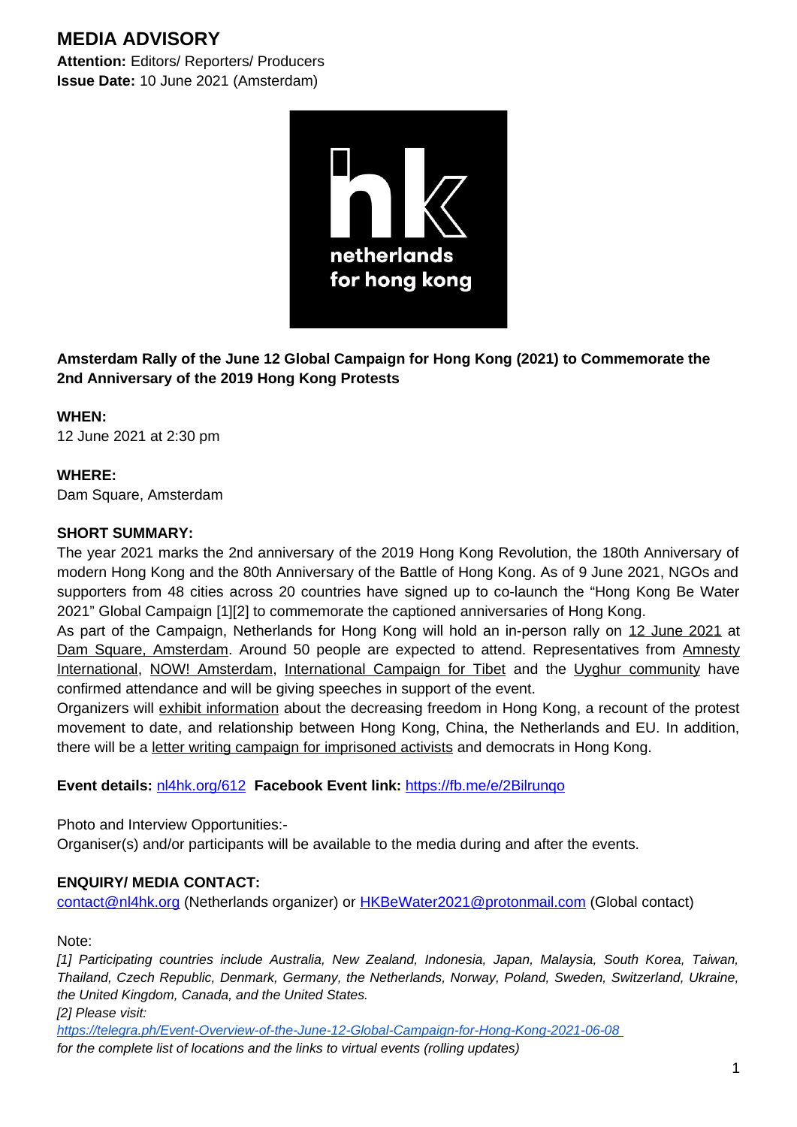# **MEDIA ADVISORY**

**Attention:** Editors/ Reporters/ Producers **Issue Date:** 10 June 2021 (Amsterdam)



**Amsterdam Rally of the June 12 Global Campaign for Hong Kong (2021) to Commemorate the 2nd Anniversary of the 2019 Hong Kong Protests**

## **WHEN:**

12 June 2021 at 2:30 pm

## **WHERE:**

Dam Square, Amsterdam

#### **SHORT SUMMARY:**

The year 2021 marks the 2nd anniversary of the 2019 Hong Kong Revolution, the 180th Anniversary of modern Hong Kong and the 80th Anniversary of the Battle of Hong Kong. As of 9 June 2021, NGOs and supporters from 48 cities across 20 countries have signed up to co-launch the "Hong Kong Be Water 2021" Global Campaign [1][2] to commemorate the captioned anniversaries of Hong Kong.

As part of the Campaign, Netherlands for Hong Kong will hold an in-person rally on 12 June 2021 at Dam Square, Amsterdam. Around 50 people are expected to attend. Representatives from Amnesty International, NOW! Amsterdam, International Campaign for Tibet and the Uyghur community have confirmed attendance and will be giving speeches in support of the event.

Organizers will exhibit information about the decreasing freedom in Hong Kong, a recount of the protest movement to date, and relationship between Hong Kong, China, the Netherlands and EU. In addition, there will be a letter writing campaign for imprisoned activists and democrats in Hong Kong.

## **Event details:** [nl4hk.org/612](https://nl4hk.org/612) **Facebook Event link:** <https://fb.me/e/2Bilrunqo>

Photo and Interview Opportunities:-

Organiser(s) and/or participants will be available to the media during and after the events.

## **ENQUIRY/ MEDIA CONTACT:**

[contact@nl4hk.org](mailto:contact@nl4hk.org) (Netherlands organizer) or [HKBeWater2021@protonmail.com](mailto:HKBeWater2021@protonmail.com) (Global contact)

Note:

*[1] Participating countries include Australia, New Zealand, Indonesia, Japan, Malaysia, South Korea, Taiwan, Thailand, Czech Republic, Denmark, Germany, the Netherlands, Norway, Poland, Sweden, Switzerland, Ukraine, the United Kingdom, Canada, and the United States.*

*[2] Please visit:*

 *https://telegra.ph/Event-Overview-of-the-June-12-Global-Campaign-for-Hong-Kong-2021-06-08 for the complete list of locations and the links to virtual events (rolling updates)*